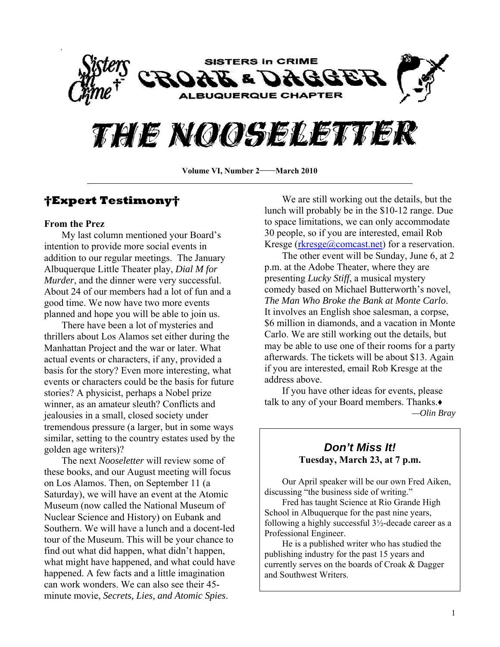

## THIE NOOSELETTER

**Volume VI, Number 2—March 2010** 

#### **†Expert Testimony†**

#### **From the Prez**

My last column mentioned your Board's intention to provide more social events in addition to our regular meetings. The January Albuquerque Little Theater play, *Dial M for Murder*, and the dinner were very successful. About 24 of our members had a lot of fun and a good time. We now have two more events planned and hope you will be able to join us.

 There have been a lot of mysteries and thrillers about Los Alamos set either during the Manhattan Project and the war or later. What actual events or characters, if any, provided a basis for the story? Even more interesting, what events or characters could be the basis for future stories? A physicist, perhaps a Nobel prize winner, as an amateur sleuth? Conflicts and jealousies in a small, closed society under tremendous pressure (a larger, but in some ways similar, setting to the country estates used by the golden age writers)?

 The next *Nooseletter* will review some of these books, and our August meeting will focus on Los Alamos. Then, on September 11 (a Saturday), we will have an event at the Atomic Museum (now called the National Museum of Nuclear Science and History) on Eubank and Southern. We will have a lunch and a docent-led tour of the Museum. This will be your chance to find out what did happen, what didn't happen, what might have happened, and what could have happened. A few facts and a little imagination can work wonders. We can also see their 45 minute movie, *Secrets, Lies, and Atomic Spies*.

 We are still working out the details, but the lunch will probably be in the \$10-12 range. Due to space limitations, we can only accommodate 30 people, so if you are interested, email Rob Kresge [\(rkresge@comcast.net](mailto:rkresge@comcast.net)) for a reservation.

 The other event will be Sunday, June 6, at 2 p.m. at the Adobe Theater, where they are presenting *Lucky Stiff*, a musical mystery comedy based on Michael Butterworth's novel, *The Man Who Broke the Bank at Monte Carlo*. It involves an English shoe salesman, a corpse, \$6 million in diamonds, and a vacation in Monte Carlo. We are still working out the details, but may be able to use one of their rooms for a party afterwards. The tickets will be about \$13. Again if you are interested, email Rob Kresge at the address above.

 If you have other ideas for events, please talk to any of your Board members. Thanks.♦ *—Olin Bray* 

#### *Don't Miss It!*  **Tuesday, March 23, at 7 p.m.**

 Our April speaker will be our own Fred Aiken, discussing "the business side of writing."

 Fred has taught Science at Rio Grande High School in Albuquerque for the past nine years, following a highly successful 3½-decade career as a Professional Engineer.

 He is a published writer who has studied the publishing industry for the past 15 years and currently serves on the boards of Croak & Dagger and Southwest Writers.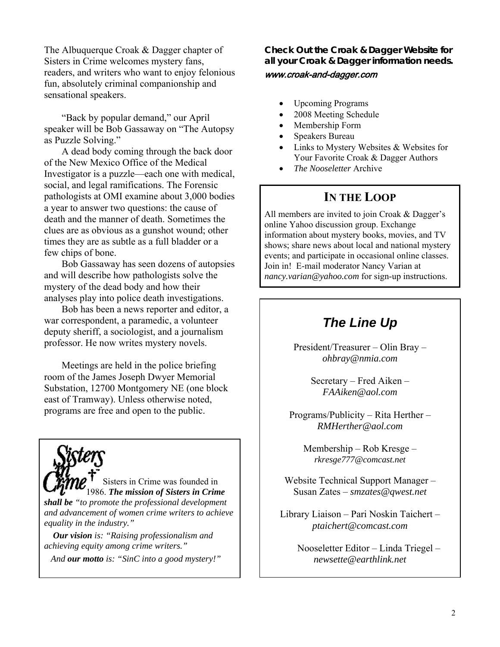The Albuquerque Croak & Dagger chapter of Sisters in Crime welcomes mystery fans, readers, and writers who want to enjoy felonious fun, absolutely criminal companionship and sensational speakers.

"Back by popular demand," our April speaker will be Bob Gassaway on "The Autopsy as Puzzle Solving."

A dead body coming through the back door of the New Mexico Office of the Medical Investigator is a puzzle—each one with medical, social, and legal ramifications. The Forensic pathologists at OMI examine about 3,000 bodies a year to answer two questions: the cause of death and the manner of death. Sometimes the clues are as obvious as a gunshot wound; other times they are as subtle as a full bladder or a few chips of bone.

Bob Gassaway has seen dozens of autopsies and will describe how pathologists solve the mystery of the dead body and how their analyses play into police death investigations.

Bob has been a news reporter and editor, a war correspondent, a paramedic, a volunteer deputy sheriff, a sociologist, and a journalism professor. He now writes mystery novels.

 Meetings are held in the police briefing room of the James Joseph Dwyer Memorial Substation, 12700 Montgomery NE (one block east of Tramway). Unless otherwise noted, programs are free and open to the public.

Sisters in Crime was founded in 1986. *The mission of Sisters in Crime shall be "to promote the professional development and advancement of women crime writers to achieve equality in the industry."* 

 *Our vision is: "Raising professionalism and achieving equity among crime writers."* 

 *And our motto is: "SinC into a good mystery!"* 

**Check Out the Croak & Dagger Website for all your Croak & Dagger information needs.**  www.croak-and-dagger.com

- Upcoming Programs
- 2008 Meeting Schedule
- Membership Form
- Speakers Bureau
- Links to Mystery Websites & Websites for Your Favorite Croak & Dagger Authors
- *The Nooseletter* Archive

#### **IN THE LOOP**

All members are invited to join Croak & Dagger's online Yahoo discussion group. Exchange information about mystery books, movies, and TV shows; share news about local and national mystery events; and participate in occasional online classes. Join in! E-mail moderator Nancy Varian at *[nancy.varian@yahoo.com](mailto:nancy.varian@yahoo.com)* for sign-up instructions.

## *The Line Up*

President/Treasurer – Olin Bray – *[ohbray@nmia.com](mailto:ohbray@nmia.com)* 

> Secretary – Fred Aiken – *[FAAiken@aol.com](mailto:rkresge777@comcast.net)*

Programs/Publicity – Rita Herther – *[RMHerther@aol.com](mailto:RMHerther@aol.com)* 

Membership – Rob Kresge – *[rkresge777@comcast.net](mailto:rkresge777@comcast.net)* 

Website Technical Support Manager – Susan Zates – *[smzates@qwest.net](mailto:smzates@qwest.net)* 

Library Liaison – Pari Noskin Taichert – *[ptaichert@comcast.com](mailto:ptaichert@comcast.com)* 

> Nooseletter Editor – Linda Triegel – *[newsette@earthlink.net](mailto:newsette@earthlink.net)*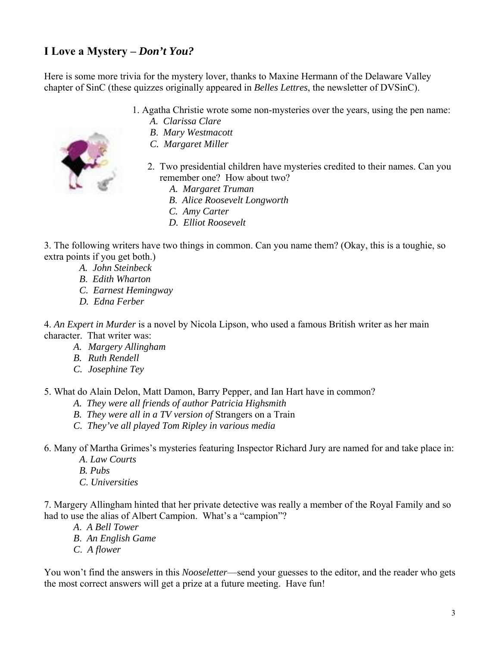## **I Love a Mystery –** *Don't You?*

Here is some more trivia for the mystery lover, thanks to Maxine Hermann of the Delaware Valley chapter of SinC (these quizzes originally appeared in *Belles Lettres*, the newsletter of DVSinC).

- 1. Agatha Christie wrote some non-mysteries over the years, using the pen name:
	- *A. Clarissa Clare*
	- *B*. *Mary Westmacott*
	- *C. Margaret Miller*
	- 2. Two presidential children have mysteries credited to their names. Can you remember one? How about two?
		- *A. Margaret Truman*
		- *B*. *Alice Roosevelt Longworth*
		- *C. Amy Carter*
		- *D. Elliot Roosevelt*

3. The following writers have two things in common. Can you name them? (Okay, this is a toughie, so extra points if you get both.)

- *A. John Steinbeck*
- *B*. *Edith Wharton*
- *C. Earnest Hemingway*
- *D. Edna Ferber*

4. *An Expert in Murder* is a novel by Nicola Lipson, who used a famous British writer as her main character. That writer was:

- *A. Margery Allingham*
- *B. Ruth Rendell*
- *C. Josephine Tey*
- 5. What do Alain Delon, Matt Damon, Barry Pepper, and Ian Hart have in common?
	- *A. They were all friends of author Patricia Highsmith*
	- *B. They were all in a TV version of* Strangers on a Train
	- *C. They've all played Tom Ripley in various media*

6. Many of Martha Grimes's mysteries featuring Inspector Richard Jury are named for and take place in:

- *A*. *Law Courts*
- *B. Pubs*
- *C*. *Universities*

7. Margery Allingham hinted that her private detective was really a member of the Royal Family and so had to use the alias of Albert Campion. What's a "campion"?

- *A*. *A Bell Tower*
- *B*. *An English Game*
- *C*. *A flower*

You won't find the answers in this *Nooseletter*—send your guesses to the editor, and the reader who gets the most correct answers will get a prize at a future meeting. Have fun!

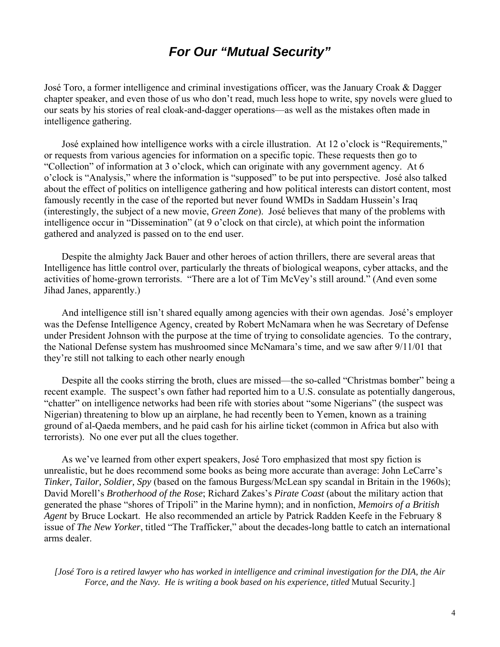## *For Our "Mutual Security"*

José Toro, a former intelligence and criminal investigations officer, was the January Croak & Dagger chapter speaker, and even those of us who don't read, much less hope to write, spy novels were glued to our seats by his stories of real cloak-and-dagger operations—as well as the mistakes often made in intelligence gathering.

 José explained how intelligence works with a circle illustration. At 12 o'clock is "Requirements," or requests from various agencies for information on a specific topic. These requests then go to "Collection" of information at 3 o'clock, which can originate with any government agency. At 6 o'clock is "Analysis," where the information is "supposed" to be put into perspective. José also talked about the effect of politics on intelligence gathering and how political interests can distort content, most famously recently in the case of the reported but never found WMDs in Saddam Hussein's Iraq (interestingly, the subject of a new movie, *Green Zone*). José believes that many of the problems with intelligence occur in "Dissemination" (at 9 o'clock on that circle), at which point the information gathered and analyzed is passed on to the end user.

 Despite the almighty Jack Bauer and other heroes of action thrillers, there are several areas that Intelligence has little control over, particularly the threats of biological weapons, cyber attacks, and the activities of home-grown terrorists. "There are a lot of Tim McVey's still around." (And even some Jihad Janes, apparently.)

 And intelligence still isn't shared equally among agencies with their own agendas. José's employer was the Defense Intelligence Agency, created by Robert McNamara when he was Secretary of Defense under President Johnson with the purpose at the time of trying to consolidate agencies. To the contrary, the National Defense system has mushroomed since McNamara's time, and we saw after 9/11/01 that they're still not talking to each other nearly enough

 Despite all the cooks stirring the broth, clues are missed—the so-called "Christmas bomber" being a recent example. The suspect's own father had reported him to a U.S. consulate as potentially dangerous, "chatter" on intelligence networks had been rife with stories about "some Nigerians" (the suspect was Nigerian) threatening to blow up an airplane, he had recently been to Yemen, known as a training ground of al-Qaeda members, and he paid cash for his airline ticket (common in Africa but also with terrorists). No one ever put all the clues together.

 As we've learned from other expert speakers, José Toro emphasized that most spy fiction is unrealistic, but he does recommend some books as being more accurate than average: John LeCarre's *Tinker, Tailor, Soldier, Spy* (based on the famous Burgess/McLean spy scandal in Britain in the 1960s); David Morell's *Brotherhood of the Rose*; Richard Zakes's *Pirate Coast* (about the military action that generated the phase "shores of Tripoli" in the Marine hymn); and in nonfiction, *Memoirs of a British Agent* by Bruce Lockart. He also recommended an article by Patrick Radden Keefe in the February 8 issue of *The New Yorker*, titled "The Trafficker," about the decades-long battle to catch an international arms dealer.

*[José Toro is a retired lawyer who has worked in intelligence and criminal investigation for the DIA, the Air Force, and the Navy. He is writing a book based on his experience, titled* Mutual Security.]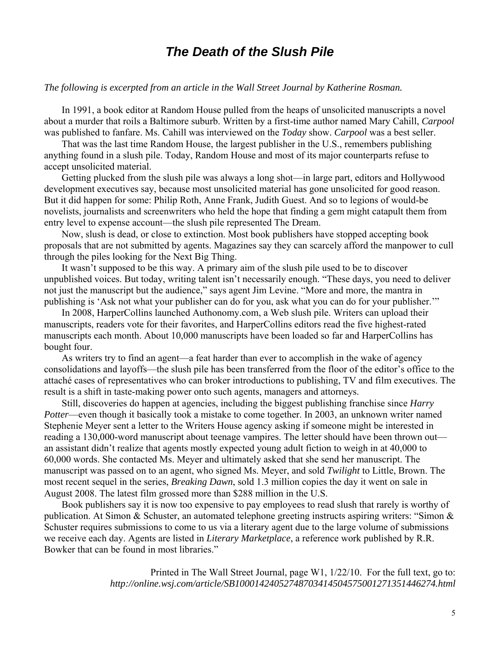## *The Death of the Slush Pile*

#### *The following is excerpted from an article in the Wall Street Journal by Katherine Rosman.*

 In 1991, a book editor at Random House pulled from the heaps of unsolicited manuscripts a novel about a murder that roils a Baltimore suburb. Written by a first-time author named Mary Cahill, *Carpool* was published to fanfare. Ms. Cahill was interviewed on the *Today* show. *Carpool* was a best seller.

 That was the last time Random House, the largest publisher in the U.S., remembers publishing anything found in a slush pile. Today, Random House and most of its major counterparts refuse to accept unsolicited material.

 Getting plucked from the slush pile was always a long shot—in large part, editors and Hollywood development executives say, because most unsolicited material has gone unsolicited for good reason. But it did happen for some: Philip Roth, Anne Frank, Judith Guest. And so to legions of would-be novelists, journalists and screenwriters who held the hope that finding a gem might catapult them from entry level to expense account—the slush pile represented The Dream.

 Now, slush is dead, or close to extinction. Most book publishers have stopped accepting book proposals that are not submitted by agents. Magazines say they can scarcely afford the manpower to cull through the piles looking for the Next Big Thing.

 It wasn't supposed to be this way. A primary aim of the slush pile used to be to discover unpublished voices. But today, writing talent isn't necessarily enough. "These days, you need to deliver not just the manuscript but the audience," says agent Jim Levine. "More and more, the mantra in publishing is 'Ask not what your publisher can do for you, ask what you can do for your publisher.'"

 In 2008, HarperCollins launched Authonomy.com, a Web slush pile. Writers can upload their manuscripts, readers vote for their favorites, and HarperCollins editors read the five highest-rated manuscripts each month. About 10,000 manuscripts have been loaded so far and HarperCollins has bought four.

 As writers try to find an agent—a feat harder than ever to accomplish in the wake of agency consolidations and layoffs—the slush pile has been transferred from the floor of the editor's office to the attaché cases of representatives who can broker introductions to publishing, TV and film executives. The result is a shift in taste-making power onto such agents, managers and attorneys.

 Still, discoveries do happen at agencies, including the biggest publishing franchise since *Harry Potter*—even though it basically took a mistake to come together. In 2003, an unknown writer named Stephenie Meyer sent a letter to the Writers House agency asking if someone might be interested in reading a 130,000-word manuscript about teenage vampires. The letter should have been thrown out an assistant didn't realize that agents mostly expected young adult fiction to weigh in at 40,000 to 60,000 words. She contacted Ms. Meyer and ultimately asked that she send her manuscript. The manuscript was passed on to an agent, who signed Ms. Meyer, and sold *Twilight* to Little, Brown. The most recent sequel in the series, *Breaking Dawn*, sold 1.3 million copies the day it went on sale in August 2008. The latest film grossed more than \$288 million in the U.S.

 Book publishers say it is now too expensive to pay employees to read slush that rarely is worthy of publication. At Simon & Schuster, an automated telephone greeting instructs aspiring writers: "Simon & Schuster requires submissions to come to us via a literary agent due to the large volume of submissions we receive each day. Agents are listed in *Literary Marketplace*, a reference work published by R.R. Bowker that can be found in most libraries."

> Printed in The Wall Street Journal, page W1, 1/22/10. [For](http://tinyurl.com/yflozta) the full text, go to: *http://online.wsj.com/article/SB10001424052748703414504575001271351446274.html*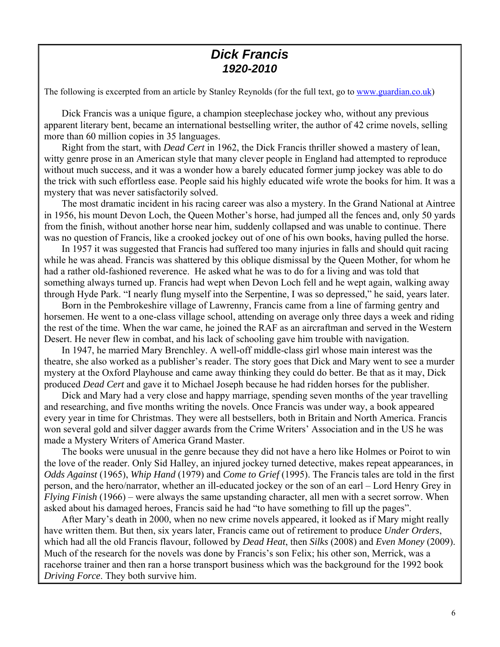### *Dick Francis 1920-2010*

The following is excerpted from an article by Stanley Reynolds (for the full text, go to [www.guardian.co.uk\)](http://www.guardian.co.uk/)

 Dick Francis was a unique figure, a champion steeplechase jockey who, without any previous apparent literary bent, became an international bestselling writer, the author of 42 crime novels, selling more than 60 million copies in 35 languages.

 Right from the start, with *Dead Cert* in 1962, the Dick Francis thriller showed a mastery of lean, witty genre prose in an American style that many clever people in England had attempted to reproduce without much success, and it was a wonder how a barely educated former jump jockey was able to do the trick with such effortless ease. People said his highly educated wife wrote the books for him. It was a mystery that was never satisfactorily solved.

 The most dramatic incident in his racing career was also a mystery. In the Grand National at Aintree in 1956, his mount Devon Loch, the Queen Mother's horse, had jumped all the fences and, only 50 yards from the finish, without another horse near him, suddenly collapsed and was unable to continue. There was no question of Francis, like a crooked jockey out of one of his own books, having pulled the horse.

 In 1957 it was suggested that Francis had suffered too many injuries in falls and should quit racing while he was ahead. Francis was shattered by this oblique dismissal by the Queen Mother, for whom he had a rather old-fashioned reverence. He asked what he was to do for a living and was told that something always turned up. Francis had wept when Devon Loch fell and he wept again, walking away through Hyde Park. "I nearly flung myself into the Serpentine, I was so depressed," he said, years later.

 Born in the Pembrokeshire village of Lawrenny, Francis came from a line of farming gentry and horsemen. He went to a one-class village school, attending on average only three days a week and riding the rest of the time. When the war came, he joined the RAF as an aircraftman and served in the Western Desert. He never flew in combat, and his lack of schooling gave him trouble with navigation.

 In 1947, he married Mary Brenchley. A well-off middle-class girl whose main interest was the theatre, she also worked as a publisher's reader. The story goes that Dick and Mary went to see a murder mystery at the Oxford Playhouse and came away thinking they could do better. Be that as it may, Dick produced *Dead Cert* and gave it to Michael Joseph because he had ridden horses for the publisher.

 Dick and Mary had a very close and happy marriage, spending seven months of the year travelling and researching, and five months writing the novels. Once Francis was under way, a book appeared every year in time for Christmas. They were all bestsellers, both in Britain and North America. Francis won several gold and silver dagger awards from the Crime Writers' Association and in the US he was made a Mystery Writers of America Grand Master.

 The books were unusual in the genre because they did not have a hero like Holmes or Poirot to win the love of the reader. Only Sid Halley, an injured jockey turned detective, makes repeat appearances, in *Odds Against* (1965), *Whip Hand* (1979) and *Come to Grief* (1995). The Francis tales are told in the first person, and the hero/narrator, whether an ill-educated jockey or the son of an earl – Lord Henry Grey in *Flying Finish* (1966) – were always the same upstanding character, all men with a secret sorrow. When asked about his damaged heroes, Francis said he had "to have something to fill up the pages".

 After Mary's death in 2000, when no new crime novels appeared, it looked as if Mary might really have written them. But then, six years later, Francis came out of retirement to produce *Under Orders*, which had all the old Francis flavour, followed by *Dead Heat*, then *Silks* (2008) and *Even Money* (2009). Much of the research for the novels was done by Francis's son Felix; his other son, Merrick, was a racehorse trainer and then ran a horse transport business which was the background for the 1992 book *Driving Force*. They both survive him.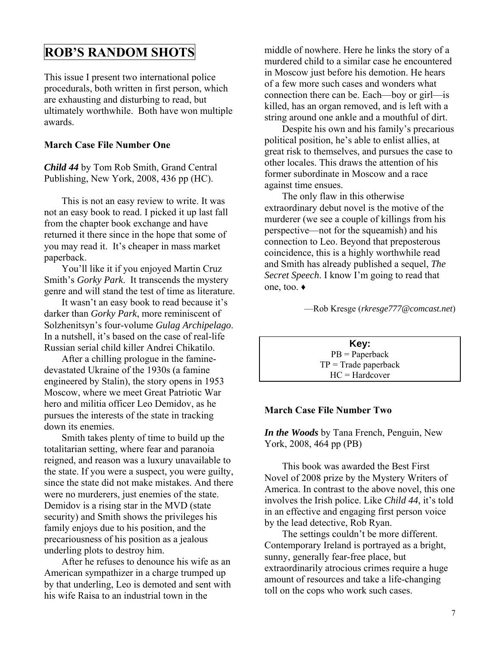## **ROB'S RANDOM SHOTS**

This issue I present two international police procedurals, both written in first person, which are exhausting and disturbing to read, but ultimately worthwhile. Both have won multiple awards.

#### **March Case File Number One**

*Child 44* by Tom Rob Smith, Grand Central Publishing, New York, 2008, 436 pp (HC).

 This is not an easy review to write. It was not an easy book to read. I picked it up last fall from the chapter book exchange and have returned it there since in the hope that some of you may read it. It's cheaper in mass market paperback.

 You'll like it if you enjoyed Martin Cruz Smith's *Gorky Park*. It transcends the mystery genre and will stand the test of time as literature.

 It wasn't an easy book to read because it's darker than *Gorky Park*, more reminiscent of Solzhenitsyn's four-volume *Gulag Archipelago*. In a nutshell, it's based on the case of real-life Russian serial child killer Andrei Chikatilo.

 After a chilling prologue in the faminedevastated Ukraine of the 1930s (a famine engineered by Stalin), the story opens in 1953 Moscow, where we meet Great Patriotic War hero and militia officer Leo Demidov, as he pursues the interests of the state in tracking down its enemies.

 Smith takes plenty of time to build up the totalitarian setting, where fear and paranoia reigned, and reason was a luxury unavailable to the state. If you were a suspect, you were guilty, since the state did not make mistakes. And there were no murderers, just enemies of the state. Demidov is a rising star in the MVD (state security) and Smith shows the privileges his family enjoys due to his position, and the precariousness of his position as a jealous underling plots to destroy him.

 After he refuses to denounce his wife as an American sympathizer in a charge trumped up by that underling, Leo is demoted and sent with his wife Raisa to an industrial town in the

middle of nowhere. Here he links the story of a murdered child to a similar case he encountered in Moscow just before his demotion. He hears of a few more such cases and wonders what connection there can be. Each—boy or girl—is killed, has an organ removed, and is left with a string around one ankle and a mouthful of dirt.

 Despite his own and his family's precarious political position, he's able to enlist allies, at great risk to themselves, and pursues the case to other locales. This draws the attention of his former subordinate in Moscow and a race against time ensues.

 The only flaw in this otherwise extraordinary debut novel is the motive of the murderer (we see a couple of killings from his perspective—not for the squeamish) and his connection to Leo. Beyond that preposterous coincidence, this is a highly worthwhile read and Smith has already published a sequel, *The Secret Speech*. I know I'm going to read that one, too. ♦

—Rob Kresge (*[rkresge777@comcast.net](mailto:rkresge777@comcast.net)*)

**Key:**  PB = Paperback  $TP = Trade$  paperback HC = Hardcover

#### **March Case File Number Two**

*In the Woods* by Tana French, Penguin, New York, 2008, 464 pp (PB)

This book was awarded the Best First Novel of 2008 prize by the Mystery Writers of America. In contrast to the above novel, this one involves the Irish police. Like *Child 44*, it's told in an effective and engaging first person voice by the lead detective, Rob Ryan.

 The settings couldn't be more different. Contemporary Ireland is portrayed as a bright, sunny, generally fear-free place, but extraordinarily atrocious crimes require a huge amount of resources and take a life-changing toll on the cops who work such cases.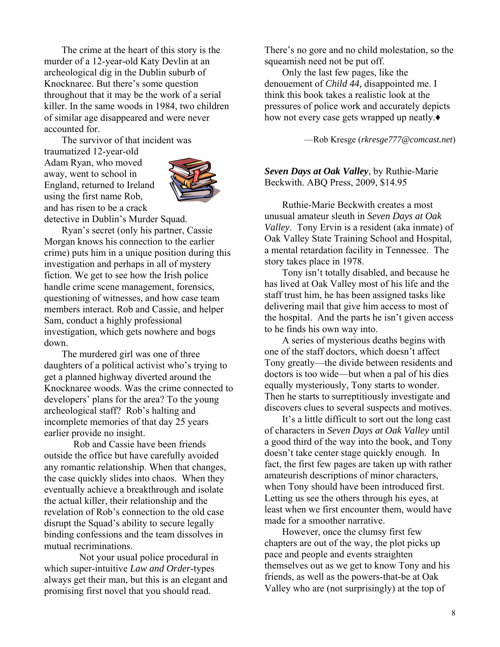The crime at the heart of this story is the murder of a 12-year-old Katy Devlin at an archeological dig in the Dublin suburb of Knocknaree. But there's some question throughout that it may be the work of a serial killer. In the same woods in 1984, two children of similar age disappeared and were never accounted for.

 The survivor of that incident was traumatized 12-year-old Adam Ryan, who moved away, went to school in England, returned to Ireland using the first name Rob, and has risen to be a crack



detective in Dublin's Murder Squad.

 Ryan's secret (only his partner, Cassie Morgan knows his connection to the earlier crime) puts him in a unique position during this investigation and perhaps in all of mystery fiction. We get to see how the Irish police handle crime scene management, forensics, questioning of witnesses, and how case team members interact. Rob and Cassie, and helper Sam, conduct a highly professional investigation, which gets nowhere and bogs down.

 The murdered girl was one of three daughters of a political activist who's trying to get a planned highway diverted around the Knocknaree woods. Was the crime connected to developers' plans for the area? To the young archeological staff? Rob's halting and incomplete memories of that day 25 years earlier provide no insight.

Rob and Cassie have been friends outside the office but have carefully avoided any romantic relationship. When that changes, the case quickly slides into chaos. When they eventually achieve a breakthrough and isolate the actual killer, their relationship and the revelation of Rob's connection to the old case disrupt the Squad's ability to secure legally binding confessions and the team dissolves in mutual recriminations.

 Not your usual police procedural in which super-intuitive *Law and Order*-types always get their man, but this is an elegant and promising first novel that you should read.

There's no gore and no child molestation, so the squeamish need not be put off.

 Only the last few pages, like the denouement of *Child 44,* disappointed me. I think this book takes a realistic look at the pressures of police work and accurately depicts how not every case gets wrapped up neatly.**♦**

—Rob Kresge (*[rkresge777@comcast.net](mailto:rkresge777@comcast.net)*)

*Seven Days at Oak Valley*, by Ruthie-Marie Beckwith. ABQ Press, 2009, \$14.95

 Ruthie-Marie Beckwith creates a most unusual amateur sleuth in *Seven Days at Oak Valley*. Tony Ervin is a resident (aka inmate) of Oak Valley State Training School and Hospital, a mental retardation facility in Tennessee. The story takes place in 1978.

 Tony isn't totally disabled, and because he has lived at Oak Valley most of his life and the staff trust him, he has been assigned tasks like delivering mail that give him access to most of the hospital. And the parts he isn't given access to he finds his own way into.

 A series of mysterious deaths begins with one of the staff doctors, which doesn't affect Tony greatly—the divide between residents and doctors is too wide—but when a pal of his dies equally mysteriously, Tony starts to wonder. Then he starts to surreptitiously investigate and discovers clues to several suspects and motives.

 It's a little difficult to sort out the long cast of characters in *Seven Days at Oak Valley* until a good third of the way into the book, and Tony doesn't take center stage quickly enough. In fact, the first few pages are taken up with rather amateurish descriptions of minor characters, when Tony should have been introduced first. Letting us see the others through his eyes, at least when we first encounter them, would have made for a smoother narrative.

 However, once the clumsy first few chapters are out of the way, the plot picks up pace and people and events straighten themselves out as we get to know Tony and his friends, as well as the powers-that-be at Oak Valley who are (not surprisingly) at the top of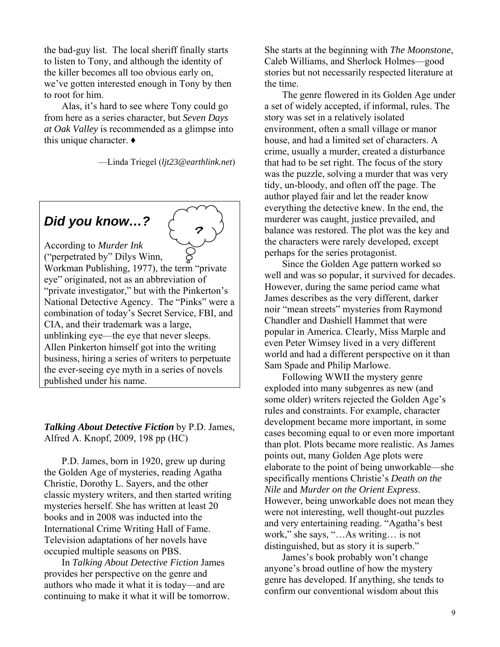the bad-guy list. The local sheriff finally starts to listen to Tony, and although the identity of the killer becomes all too obvious early on, we've gotten interested enough in Tony by then to root for him.

 Alas, it's hard to see where Tony could go from here as a series character, but *Seven Days at Oak Valley* is recommended as a glimpse into this unique character. **♦**

—Linda Triegel (*[ljt23@earthlink.net](mailto:rkresge777@comcast.net)*)

## *Did you know…?*



According to *Murder Ink* ("perpetrated by" Dilys Winn, Workman Publishing, 1977), the term "private eye" originated, not as an abbreviation of "private investigator," but with the Pinkerton's National Detective Agency. The "Pinks" were a combination of today's Secret Service, FBI, and CIA, and their trademark was a large, unblinking eye—the eye that never sleeps. Allen Pinkerton himself got into the writing business, hiring a series of writers to perpetuate the ever-seeing eye myth in a series of novels published under his name.

#### *Talking About Detective Fiction* by P.D. James, Alfred A. Knopf, 2009, 198 pp (HC)

 P.D. James, born in 1920, grew up during the Golden Age of mysteries, reading Agatha Christie, Dorothy L. Sayers, and the other classic mystery writers, and then started writing mysteries herself. She has written at least 20 books and in 2008 was inducted into the International Crime Writing Hall of Fame. Television adaptations of her novels have occupied multiple seasons on PBS.

 In *Talking About Detective Fiction* James provides her perspective on the genre and authors who made it what it is today—and are continuing to make it what it will be tomorrow. She starts at the beginning with *The Moonstone*, Caleb Williams, and Sherlock Holmes—good stories but not necessarily respected literature at the time.

 The genre flowered in its Golden Age under a set of widely accepted, if informal, rules. The story was set in a relatively isolated environment, often a small village or manor house, and had a limited set of characters. A crime, usually a murder, created a disturbance that had to be set right. The focus of the story was the puzzle, solving a murder that was very tidy, un-bloody, and often off the page. The author played fair and let the reader know everything the detective knew. In the end, the murderer was caught, justice prevailed, and balance was restored. The plot was the key and the characters were rarely developed, except perhaps for the series protagonist.

Since the Golden Age pattern worked so well and was so popular, it survived for decades. However, during the same period came what James describes as the very different, darker noir "mean streets" mysteries from Raymond Chandler and Dashiell Hammet that were popular in America. Clearly, Miss Marple and even Peter Wimsey lived in a very different world and had a different perspective on it than Sam Spade and Philip Marlowe.

 Following WWII the mystery genre exploded into many subgenres as new (and some older) writers rejected the Golden Age's rules and constraints. For example, character development became more important, in some cases becoming equal to or even more important than plot. Plots became more realistic. As James points out, many Golden Age plots were elaborate to the point of being unworkable—she specifically mentions Christie's *Death on the Nile* and *Murder on the Orient Express*. However, being unworkable does not mean they were not interesting, well thought-out puzzles and very entertaining reading. "Agatha's best work," she says, "…As writing… is not distinguished, but as story it is superb."

 James's book probably won't change anyone's broad outline of how the mystery genre has developed. If anything, she tends to confirm our conventional wisdom about this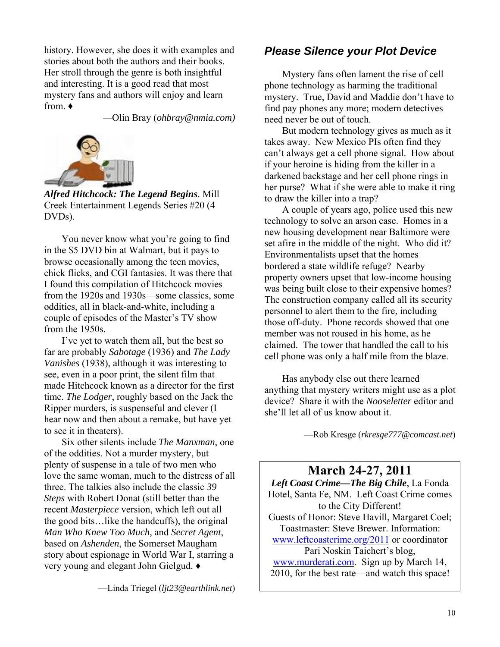history. However, she does it with examples and stories about both the authors and their books. Her stroll through the genre is both insightful and interesting. It is a good read that most mystery fans and authors will enjoy and learn from. **♦**

—Olin Bray (*[ohbray@nmia.com](mailto:ohbray@nmia.com))* 



*Alfred Hitchcock: The Legend Begins*. Mill Creek Entertainment Legends Series #20 (4 DVDs).

 You never know what you're going to find in the \$5 DVD bin at Walmart, but it pays to browse occasionally among the teen movies, chick flicks, and CGI fantasies. It was there that I found this compilation of Hitchcock movies from the 1920s and 1930s—some classics, some oddities, all in black-and-white, including a couple of episodes of the Master's TV show from the 1950s.

 I've yet to watch them all, but the best so far are probably *Sabotage* (1936) and *The Lady Vanishes* (1938), although it was interesting to see, even in a poor print, the silent film that made Hitchcock known as a director for the first time. *The Lodger*, roughly based on the Jack the Ripper murders, is suspenseful and clever (I hear now and then about a remake, but have yet to see it in theaters).

 Six other silents include *The Manxman*, one of the oddities. Not a murder mystery, but plenty of suspense in a tale of two men who love the same woman, much to the distress of all three. The talkies also include the classic *39 Steps* with Robert Donat (still better than the recent *Masterpiece* version, which left out all the good bits…like the handcuffs), the original *Man Who Knew Too Much,* and *Secret Agent*, based on *Ashenden*, the Somerset Maugham story about espionage in World War I, starring a very young and elegant John Gielgud. **♦**

—Linda Triegel (*[ljt23@earthlink.net](mailto:rkresge777@comcast.net)*)

#### *Please Silence your Plot Device*

 Mystery fans often lament the rise of cell phone technology as harming the traditional mystery. True, David and Maddie don't have to find pay phones any more; modern detectives need never be out of touch.

 But modern technology gives as much as it takes away. New Mexico PIs often find they can't always get a cell phone signal. How about if your heroine is hiding from the killer in a darkened backstage and her cell phone rings in her purse? What if she were able to make it ring to draw the killer into a trap?

 A couple of years ago, police used this new technology to solve an arson case. Homes in a new housing development near Baltimore were set afire in the middle of the night. Who did it? Environmentalists upset that the homes bordered a state wildlife refuge? Nearby property owners upset that low-income housing was being built close to their expensive homes? The construction company called all its security personnel to alert them to the fire, including those off-duty. Phone records showed that one member was not roused in his home, as he claimed. The tower that handled the call to his cell phone was only a half mile from the blaze.

 Has anybody else out there learned anything that mystery writers might use as a plot device? Share it with the *Nooseletter* editor and she'll let all of us know about it.

—Rob Kresge (*[rkresge777@comcast.net](mailto:rkresge777@comcast.net)*)

#### **March 24-27, 2011**

*Left Coast Crime—The Big Chile*, La Fonda Hotel, Santa Fe, NM. Left Coast Crime comes to the City Different! Guests of Honor: Steve Havill, Margaret Coel; Toastmaster: Steve Brewer. Information: [www.leftcoastcrime.org/2011](http://www.leftcoastcrime.org/2011) or coordinator Pari Noskin Taichert's blog, [www.murderati.com.](http://www.murderati.com/) Sign up by March 14, 2010, for the best rate—and watch this space!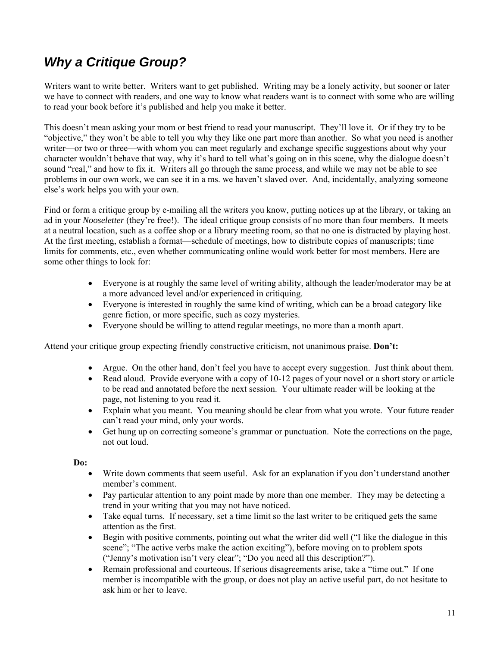## *Why a Critique Group?*

Writers want to write better. Writers want to get published. Writing may be a lonely activity, but sooner or later we have to connect with readers, and one way to know what readers want is to connect with some who are willing to read your book before it's published and help you make it better.

This doesn't mean asking your mom or best friend to read your manuscript. They'll love it. Or if they try to be "objective," they won't be able to tell you why they like one part more than another. So what you need is another writer—or two or three—with whom you can meet regularly and exchange specific suggestions about why your character wouldn't behave that way, why it's hard to tell what's going on in this scene, why the dialogue doesn't sound "real," and how to fix it. Writers all go through the same process, and while we may not be able to see problems in our own work, we can see it in a ms. we haven't slaved over. And, incidentally, analyzing someone else's work helps you with your own.

Find or form a critique group by e-mailing all the writers you know, putting notices up at the library, or taking an ad in your *Nooseletter* (they're free!). The ideal critique group consists of no more than four members. It meets at a neutral location, such as a coffee shop or a library meeting room, so that no one is distracted by playing host. At the first meeting, establish a format—schedule of meetings, how to distribute copies of manuscripts; time limits for comments, etc., even whether communicating online would work better for most members. Here are some other things to look for:

- Everyone is at roughly the same level of writing ability, although the leader/moderator may be at a more advanced level and/or experienced in critiquing.
- Everyone is interested in roughly the same kind of writing, which can be a broad category like genre fiction, or more specific, such as cozy mysteries.
- Everyone should be willing to attend regular meetings, no more than a month apart.

Attend your critique group expecting friendly constructive criticism, not unanimous praise. **Don't:**

- Argue. On the other hand, don't feel you have to accept every suggestion. Just think about them.
- Read aloud. Provide everyone with a copy of 10-12 pages of your novel or a short story or article to be read and annotated before the next session. Your ultimate reader will be looking at the page, not listening to you read it.
- Explain what you meant. You meaning should be clear from what you wrote. Your future reader can't read your mind, only your words.
- Get hung up on correcting someone's grammar or punctuation. Note the corrections on the page, not out loud.

**Do:** 

- Write down comments that seem useful. Ask for an explanation if you don't understand another member's comment.
- Pay particular attention to any point made by more than one member. They may be detecting a trend in your writing that you may not have noticed.
- Take equal turns. If necessary, set a time limit so the last writer to be critiqued gets the same attention as the first.
- Begin with positive comments, pointing out what the writer did well ("I like the dialogue in this scene"; "The active verbs make the action exciting"), before moving on to problem spots ("Jenny's motivation isn't very clear"; "Do you need all this description?").
- Remain professional and courteous. If serious disagreements arise, take a "time out." If one member is incompatible with the group, or does not play an active useful part, do not hesitate to ask him or her to leave.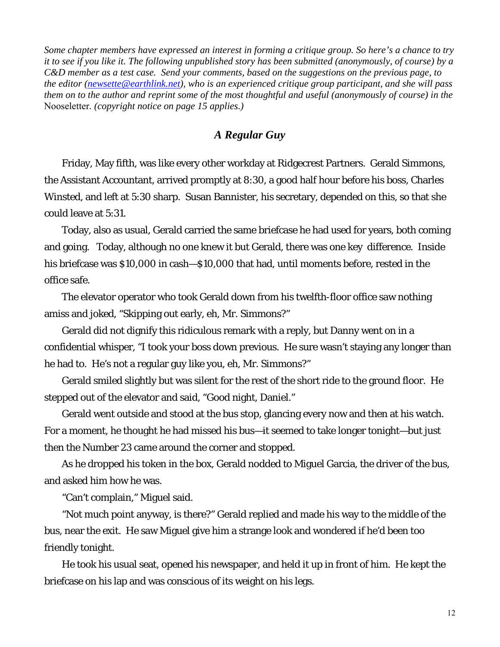*Some chapter members have expressed an interest in forming a critique group. So here's a chance to try it to see if you like it. The following unpublished story has been submitted (anonymously, of course) by a C&D member as a test case. Send your comments, based on the suggestions on the previous page, to the editor [\(newsette@earthlink.net\)](mailto:newsette@earthlink.net), who is an experienced critique group participant, and she will pass them on to the author and reprint some of the most thoughtful and useful (anonymously of course) in the*  Nooseletter*. (copyright notice on page 15 applies.)* 

#### *A Regular Guy*

 Friday, May fifth, was like every other workday at Ridgecrest Partners. Gerald Simmons, the Assistant Accountant, arrived promptly at 8:30, a good half hour before his boss, Charles Winsted, and left at 5:30 sharp. Susan Bannister, his secretary, depended on this, so that she could leave at 5:31.

 Today, also as usual, Gerald carried the same briefcase he had used for years, both coming and going. Today, although no one knew it but Gerald, there was one key difference. Inside his briefcase was \$10,000 in cash—\$10,000 that had, until moments before, rested in the office safe.

 The elevator operator who took Gerald down from his twelfth-floor office saw nothing amiss and joked, "Skipping out early, eh, Mr. Simmons?"

 Gerald did not dignify this ridiculous remark with a reply, but Danny went on in a confidential whisper, "I took your boss down previous. He sure wasn't staying any longer than he had to. He's not a regular guy like you, eh, Mr. Simmons?"

 Gerald smiled slightly but was silent for the rest of the short ride to the ground floor. He stepped out of the elevator and said, "Good night, Daniel."

 Gerald went outside and stood at the bus stop, glancing every now and then at his watch. For a moment, he thought he had missed his bus—it seemed to take longer tonight—but just then the Number 23 came around the corner and stopped.

 As he dropped his token in the box, Gerald nodded to Miguel Garcia, the driver of the bus, and asked him how he was.

"Can't complain," Miguel said.

 "Not much point anyway, is there?" Gerald replied and made his way to the middle of the bus, near the exit. He saw Miguel give him a strange look and wondered if he'd been too friendly tonight.

 He took his usual seat, opened his newspaper, and held it up in front of him. He kept the briefcase on his lap and was conscious of its weight on his legs.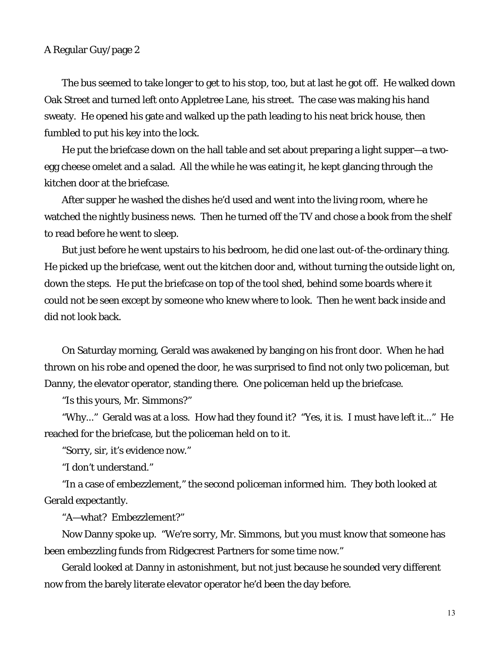#### A Regular Guy/page 2

 The bus seemed to take longer to get to his stop, too, but at last he got off. He walked down Oak Street and turned left onto Appletree Lane, his street. The case was making his hand sweaty. He opened his gate and walked up the path leading to his neat brick house, then fumbled to put his key into the lock.

 He put the briefcase down on the hall table and set about preparing a light supper—a twoegg cheese omelet and a salad. All the while he was eating it, he kept glancing through the kitchen door at the briefcase.

 After supper he washed the dishes he'd used and went into the living room, where he watched the nightly business news. Then he turned off the TV and chose a book from the shelf to read before he went to sleep.

 But just before he went upstairs to his bedroom, he did one last out-of-the-ordinary thing. He picked up the briefcase, went out the kitchen door and, without turning the outside light on, down the steps. He put the briefcase on top of the tool shed, behind some boards where it could not be seen except by someone who knew where to look. Then he went back inside and did not look back.

 On Saturday morning, Gerald was awakened by banging on his front door. When he had thrown on his robe and opened the door, he was surprised to find not only two policeman, but Danny, the elevator operator, standing there. One policeman held up the briefcase.

"Is this yours, Mr. Simmons?"

 "Why..." Gerald was at a loss. How had they found it? "Yes, it is. I must have left it..." He reached for the briefcase, but the policeman held on to it.

"Sorry, sir, it's evidence now."

"I don't understand."

 "In a case of embezzlement," the second policeman informed him. They both looked at Gerald expectantly.

"A—what? Embezzlement?"

 Now Danny spoke up. "We're sorry, Mr. Simmons, but you must know that someone has been embezzling funds from Ridgecrest Partners for some time now."

 Gerald looked at Danny in astonishment, but not just because he sounded very different now from the barely literate elevator operator he'd been the day before.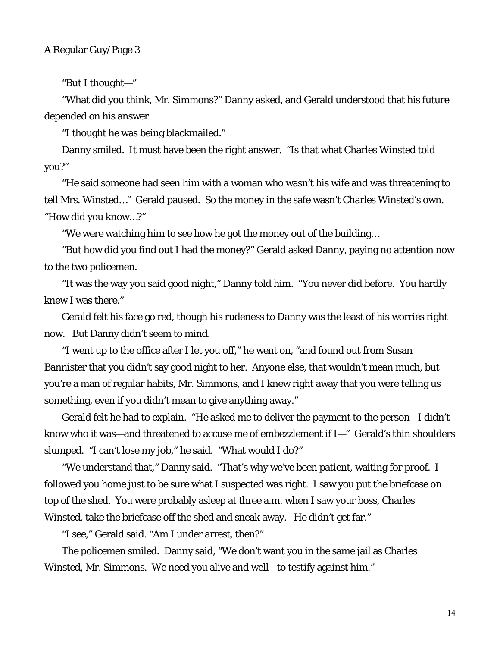"But I thought—"

 "What did you think, Mr. Simmons?" Danny asked, and Gerald understood that his future depended on his answer.

"I thought he was being blackmailed."

 Danny smiled. It must have been the right answer. "Is that what Charles Winsted told you?"

 "He said someone had seen him with a woman who wasn't his wife and was threatening to tell Mrs. Winsted…" Gerald paused. So the money in the safe wasn't Charles Winsted's own. "How did you know…?"

"We were watching him to see how he got the money out of the building…

 "But how did you find out I had the money?" Gerald asked Danny, paying no attention now to the two policemen.

 "It was the way you said good night," Danny told him. "You never did before. You hardly knew I was there."

 Gerald felt his face go red, though his rudeness to Danny was the least of his worries right now. But Danny didn't seem to mind.

 "I went up to the office after I let you off," he went on, "and found out from Susan Bannister that you *didn't* say good night to her. Anyone else, that wouldn't mean much, but you're a man of regular habits, Mr. Simmons, and I knew right away that you were telling us something, even if you didn't mean to give anything away."

 Gerald felt he had to explain. "He asked me to deliver the payment to the person—I didn't know who it was—and threatened to accuse *me* of embezzlement if I—" Gerald's thin shoulders slumped. "I can't lose my job," he said. "What would I do?"

 "We understand that," Danny said. "That's why we've been patient, waiting for proof. I followed you home just to be sure what I suspected was right. I saw you put the briefcase on top of the shed. You were probably asleep at three a.m. when I saw your boss, Charles Winsted, take the briefcase off the shed and sneak away. He didn't get far."

"I see," Gerald said. "Am I under arrest, then?"

 The policemen smiled. Danny said, "We don't want you in the same jail as Charles Winsted, Mr. Simmons. We need you alive and well—to testify against him."